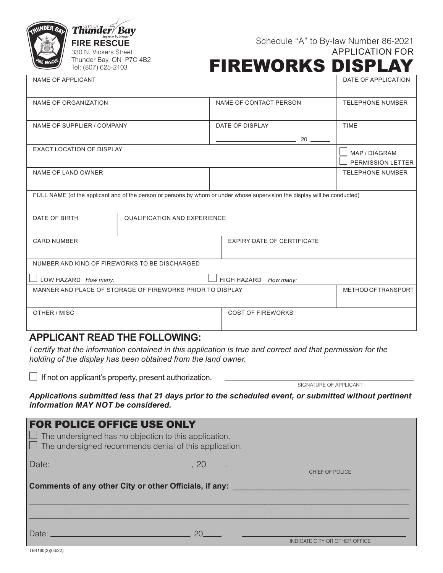| <b>INDER BALL</b> | $\textit{Thunder/Bay}$                      |  |  |
|-------------------|---------------------------------------------|--|--|
|                   | <b>FIRE RESCUE</b><br>330 N. Vickers Street |  |  |
| TRE RESCUE        | Thunder Bay, ON P7C 4B2                     |  |  |
|                   | Tel: (807) 625-2103                         |  |  |

## FIREWORKS DISPLAY

| NAME OF APPLICANT                                                                                                          |                            |  | DATE OF APPLICATION                |  |
|----------------------------------------------------------------------------------------------------------------------------|----------------------------|--|------------------------------------|--|
| NAME OF ORGANIZATION                                                                                                       | NAME OF CONTACT PERSON     |  | <b>TELEPHONE NUMBER</b>            |  |
| NAME OF SUPPLIER / COMPANY                                                                                                 | DATE OF DISPLAY            |  | <b>TIME</b>                        |  |
| <b>EXACT LOCATION OF DISPLAY</b>                                                                                           |                            |  | MAP / DIAGRAM<br>PERMISSION LETTER |  |
| NAME OF LAND OWNER                                                                                                         |                            |  | <b>TELEPHONE NUMBER</b>            |  |
| FULL NAME (of the applicant and of the person or persons by whom or under whose supervision the display will be conducted) |                            |  |                                    |  |
| DATE OF BIRTH<br>QUALIFICATION AND EXPERIENCE                                                                              |                            |  |                                    |  |
| <b>CARD NUMBER</b>                                                                                                         | EXPIRY DATE OF CERTIFICATE |  |                                    |  |
| NUMBER AND KIND OF FIREWORKS TO BE DISCHARGED                                                                              |                            |  |                                    |  |
| LOW HAZARD How many: ________________________<br>HIGH HAZARD How many: _______________________                             |                            |  |                                    |  |
| MANNER AND PLACE OF STORAGE OF FIREWORKS PRIOR TO DISPLAY                                                                  |                            |  | METHOD OF TRANSPORT                |  |
| OTHER / MISC                                                                                                               | <b>COST OF FIREWORKS</b>   |  |                                    |  |

## **APPLICANT READ THE FOLLOWING:**

*I certify that the information contained in this application is true and correct and that permission for the holding of the display has been obtained from the land owner.*

 $\Box$  If not on applicant's property, present authorization.

SIGNATURE OF APPLICANT

*Applications submitted less that 21 days prior to the scheduled event, or submitted without pertinent information MAY NOT be considered.* 

| <b>FOR POLICE OFFICE USE ONLY</b><br>$\Box$ The undersigned has no objection to this application.    | $\Box$ The undersigned recommends denial of this application.                                             |                               |
|------------------------------------------------------------------------------------------------------|-----------------------------------------------------------------------------------------------------------|-------------------------------|
| Date: 20                                                                                             |                                                                                                           | CHIEF OF POLICE               |
|                                                                                                      | <b>Comments of any other City or other Officials, if any:</b> The comments of any other than $\mathbf{r}$ |                               |
|                                                                                                      |                                                                                                           |                               |
| Date: I<br>the control of the control of the control of the control of the control of the control of |                                                                                                           | INDICATE CITY OR OTHER OFFICE |